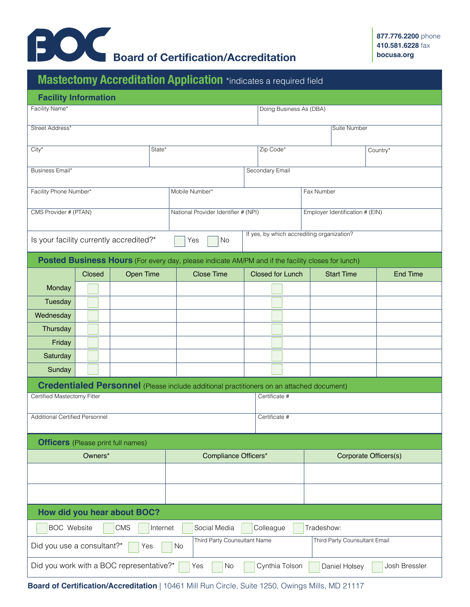

|                                                                                                           |        | Mastectomy Accreditation Application *indicates a required field                                  |  |                                      |                   |                         |                                            |  |                       |                   |  |                 |  |
|-----------------------------------------------------------------------------------------------------------|--------|---------------------------------------------------------------------------------------------------|--|--------------------------------------|-------------------|-------------------------|--------------------------------------------|--|-----------------------|-------------------|--|-----------------|--|
| <b>Facility Information</b>                                                                               |        |                                                                                                   |  |                                      |                   |                         |                                            |  |                       |                   |  |                 |  |
| Facility Name*                                                                                            |        |                                                                                                   |  |                                      |                   | Doing Business As (DBA) |                                            |  |                       |                   |  |                 |  |
| Street Address*                                                                                           |        |                                                                                                   |  |                                      |                   |                         |                                            |  |                       | Suite Number      |  |                 |  |
|                                                                                                           |        |                                                                                                   |  |                                      |                   |                         |                                            |  |                       |                   |  |                 |  |
| $City*$<br>State*                                                                                         |        |                                                                                                   |  |                                      |                   |                         | Zip Code*                                  |  |                       | Country*          |  |                 |  |
| Secondary Email<br>Business Email*                                                                        |        |                                                                                                   |  |                                      |                   |                         |                                            |  |                       |                   |  |                 |  |
|                                                                                                           |        |                                                                                                   |  |                                      |                   |                         |                                            |  |                       |                   |  |                 |  |
| Facility Phone Number*                                                                                    |        |                                                                                                   |  | Mobile Number*                       |                   |                         | Fax Number                                 |  |                       |                   |  |                 |  |
| CMS Provider # (PTAN)                                                                                     |        |                                                                                                   |  | National Provider Identifier # (NPI) |                   |                         | Employer Identification # (EIN)            |  |                       |                   |  |                 |  |
|                                                                                                           |        |                                                                                                   |  |                                      |                   |                         | If yes, by which accrediting organization? |  |                       |                   |  |                 |  |
| Is your facility currently accredited?*<br><b>No</b><br>Yes                                               |        |                                                                                                   |  |                                      |                   |                         |                                            |  |                       |                   |  |                 |  |
|                                                                                                           |        | Posted Business Hours (For every day, please indicate AM/PM and if the facility closes for lunch) |  |                                      |                   |                         |                                            |  |                       |                   |  |                 |  |
|                                                                                                           | Closed | <b>Open Time</b>                                                                                  |  |                                      | <b>Close Time</b> |                         | <b>Closed for Lunch</b>                    |  |                       | <b>Start Time</b> |  | <b>End Time</b> |  |
| Monday                                                                                                    |        |                                                                                                   |  |                                      |                   |                         |                                            |  |                       |                   |  |                 |  |
| Tuesday                                                                                                   |        |                                                                                                   |  |                                      |                   |                         |                                            |  |                       |                   |  |                 |  |
| Wednesday                                                                                                 |        |                                                                                                   |  |                                      |                   |                         |                                            |  |                       |                   |  |                 |  |
| Thursday                                                                                                  |        |                                                                                                   |  |                                      |                   |                         |                                            |  |                       |                   |  |                 |  |
| Friday                                                                                                    |        |                                                                                                   |  |                                      |                   |                         |                                            |  |                       |                   |  |                 |  |
| Saturday                                                                                                  |        |                                                                                                   |  |                                      |                   |                         |                                            |  |                       |                   |  |                 |  |
| Sunday                                                                                                    |        |                                                                                                   |  |                                      |                   |                         |                                            |  |                       |                   |  |                 |  |
| <b>Credentialed Personnel</b> (Please include additional practitioners on an attached document)           |        |                                                                                                   |  |                                      |                   |                         |                                            |  |                       |                   |  |                 |  |
| Certified Mastectomy Fitter                                                                               |        |                                                                                                   |  |                                      |                   |                         | Certificate #                              |  |                       |                   |  |                 |  |
| Additional Certified Personnel                                                                            |        |                                                                                                   |  |                                      | Certificate #     |                         |                                            |  |                       |                   |  |                 |  |
|                                                                                                           |        |                                                                                                   |  |                                      |                   |                         |                                            |  |                       |                   |  |                 |  |
| <b>Officers</b> (Please print full names)                                                                 |        |                                                                                                   |  |                                      |                   |                         |                                            |  |                       |                   |  |                 |  |
| Owners*                                                                                                   |        |                                                                                                   |  | Compliance Officers*                 |                   |                         |                                            |  | Corporate Officers(s) |                   |  |                 |  |
|                                                                                                           |        |                                                                                                   |  |                                      |                   |                         |                                            |  |                       |                   |  |                 |  |
|                                                                                                           |        |                                                                                                   |  |                                      |                   |                         |                                            |  |                       |                   |  |                 |  |
|                                                                                                           |        |                                                                                                   |  |                                      |                   |                         |                                            |  |                       |                   |  |                 |  |
|                                                                                                           |        | How did you hear about BOC?                                                                       |  |                                      |                   |                         |                                            |  |                       |                   |  |                 |  |
| <b>BOC</b> Website<br>Social Media<br>Colleague<br><b>CMS</b><br>Tradeshow:<br>Internet                   |        |                                                                                                   |  |                                      |                   |                         |                                            |  |                       |                   |  |                 |  |
| Third Party Counsultant Email<br>Third Party Counsultant Name<br>Did you use a consultant?*<br>No<br>Yes  |        |                                                                                                   |  |                                      |                   |                         |                                            |  |                       |                   |  |                 |  |
| Did you work with a BOC representative?*<br>Josh Bressler<br>Cynthia Tolson<br>Daniel Holsey<br>Yes<br>No |        |                                                                                                   |  |                                      |                   |                         |                                            |  |                       |                   |  |                 |  |

**Board of Certification/Accreditation** | 10461 Mill Run Circle, Suite 1250, Owings Mills, MD 21117